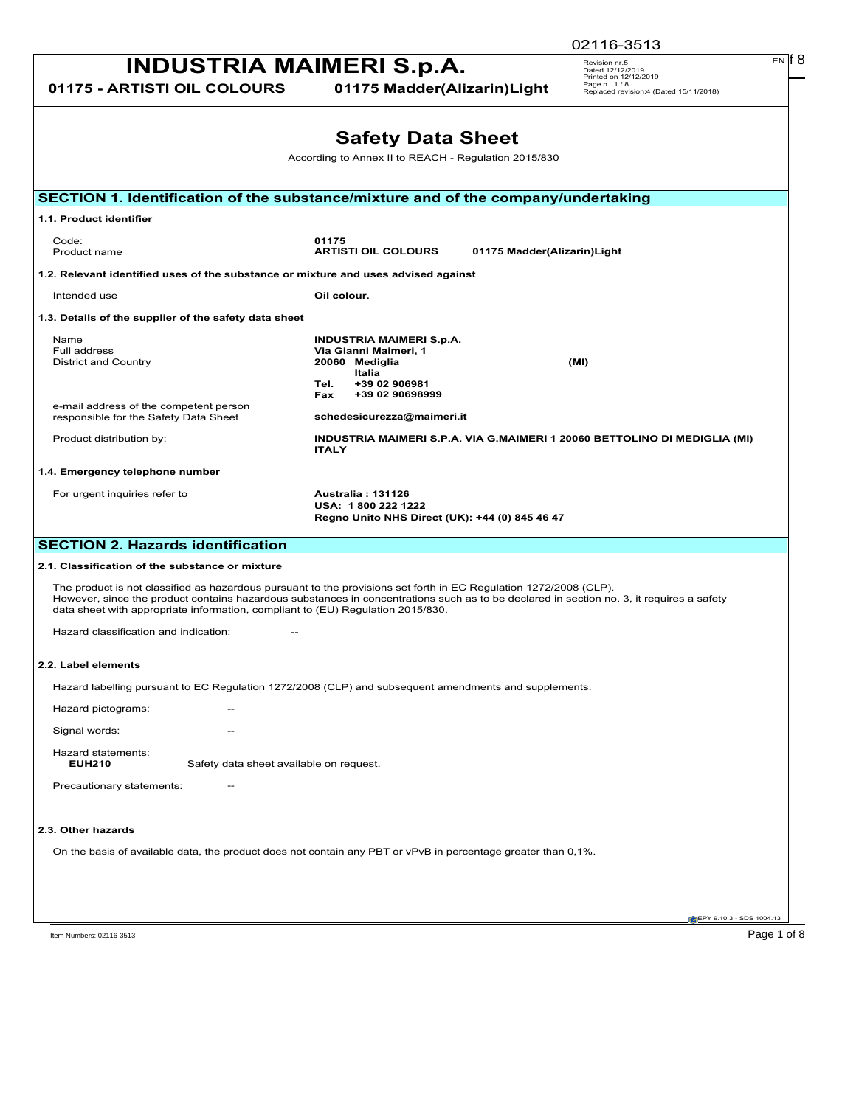|                                                                                    |                                                                                                                                                                                                                                                               | 02116-3513                                                                     |
|------------------------------------------------------------------------------------|---------------------------------------------------------------------------------------------------------------------------------------------------------------------------------------------------------------------------------------------------------------|--------------------------------------------------------------------------------|
| <b>INDUSTRIA MAIMERI S.p.A.</b>                                                    |                                                                                                                                                                                                                                                               | $EN$ $18$<br>Revision nr.5<br>Dated 12/12/2019                                 |
| 01175 - ARTISTI OIL COLOURS                                                        | 01175 Madder(Alizarin)Light                                                                                                                                                                                                                                   | Printed on 12/12/2019<br>Page n. 1/8<br>Replaced revision:4 (Dated 15/11/2018) |
|                                                                                    |                                                                                                                                                                                                                                                               |                                                                                |
|                                                                                    | <b>Safety Data Sheet</b><br>According to Annex II to REACH - Regulation 2015/830                                                                                                                                                                              |                                                                                |
|                                                                                    |                                                                                                                                                                                                                                                               |                                                                                |
|                                                                                    | SECTION 1. Identification of the substance/mixture and of the company/undertaking                                                                                                                                                                             |                                                                                |
| 1.1. Product identifier                                                            |                                                                                                                                                                                                                                                               |                                                                                |
| Code:<br>Product name                                                              | 01175<br><b>ARTISTI OIL COLOURS</b><br>01175 Madder(Alizarin)Light                                                                                                                                                                                            |                                                                                |
| 1.2. Relevant identified uses of the substance or mixture and uses advised against |                                                                                                                                                                                                                                                               |                                                                                |
| Intended use                                                                       | Oil colour.                                                                                                                                                                                                                                                   |                                                                                |
| 1.3. Details of the supplier of the safety data sheet                              |                                                                                                                                                                                                                                                               |                                                                                |
| Name<br>Full address<br>District and Country                                       | <b>INDUSTRIA MAIMERI S.p.A.</b><br>Via Gianni Maimeri, 1<br>20060 Mediglia<br>Italia                                                                                                                                                                          | (MI)                                                                           |
| e-mail address of the competent person<br>responsible for the Safety Data Sheet    | +39 02 906981<br>Tel.<br>+39 02 90698999<br>Fax<br>schedesicurezza@maimeri.it                                                                                                                                                                                 |                                                                                |
| Product distribution by:                                                           | INDUSTRIA MAIMERI S.P.A. VIA G.MAIMERI 1 20060 BETTOLINO DI MEDIGLIA (MI)<br><b>ITALY</b>                                                                                                                                                                     |                                                                                |
| 1.4. Emergency telephone number                                                    |                                                                                                                                                                                                                                                               |                                                                                |
| For urgent inquiries refer to                                                      | Australia: 131126<br>USA: 1800 222 1222<br>Regno Unito NHS Direct (UK): +44 (0) 845 46 47                                                                                                                                                                     |                                                                                |
| <b>SECTION 2. Hazards identification</b>                                           |                                                                                                                                                                                                                                                               |                                                                                |
| 2.1. Classification of the substance or mixture                                    |                                                                                                                                                                                                                                                               |                                                                                |
| data sheet with appropriate information, compliant to (EU) Regulation 2015/830.    | The product is not classified as hazardous pursuant to the provisions set forth in EC Regulation 1272/2008 (CLP).<br>However, since the product contains hazardous substances in concentrations such as to be declared in section no. 3, it requires a safety |                                                                                |
| Hazard classification and indication:                                              |                                                                                                                                                                                                                                                               |                                                                                |
| 2.2. Label elements                                                                |                                                                                                                                                                                                                                                               |                                                                                |
|                                                                                    | Hazard labelling pursuant to EC Regulation 1272/2008 (CLP) and subsequent amendments and supplements.                                                                                                                                                         |                                                                                |
| Hazard pictograms:<br>$\overline{\phantom{a}}$                                     |                                                                                                                                                                                                                                                               |                                                                                |
| Signal words:<br>--                                                                |                                                                                                                                                                                                                                                               |                                                                                |
| Hazard statements:<br><b>EUH210</b><br>Safety data sheet available on request.     |                                                                                                                                                                                                                                                               |                                                                                |
| Precautionary statements:                                                          |                                                                                                                                                                                                                                                               |                                                                                |
| 2.3. Other hazards                                                                 |                                                                                                                                                                                                                                                               |                                                                                |
|                                                                                    | On the basis of available data, the product does not contain any PBT or vPvB in percentage greater than 0,1%.                                                                                                                                                 |                                                                                |
|                                                                                    |                                                                                                                                                                                                                                                               |                                                                                |
|                                                                                    |                                                                                                                                                                                                                                                               | EPY 9.10.3 - SDS 1004.13                                                       |
| Item Numbers: 02116-3513                                                           |                                                                                                                                                                                                                                                               | Page 1 of 8                                                                    |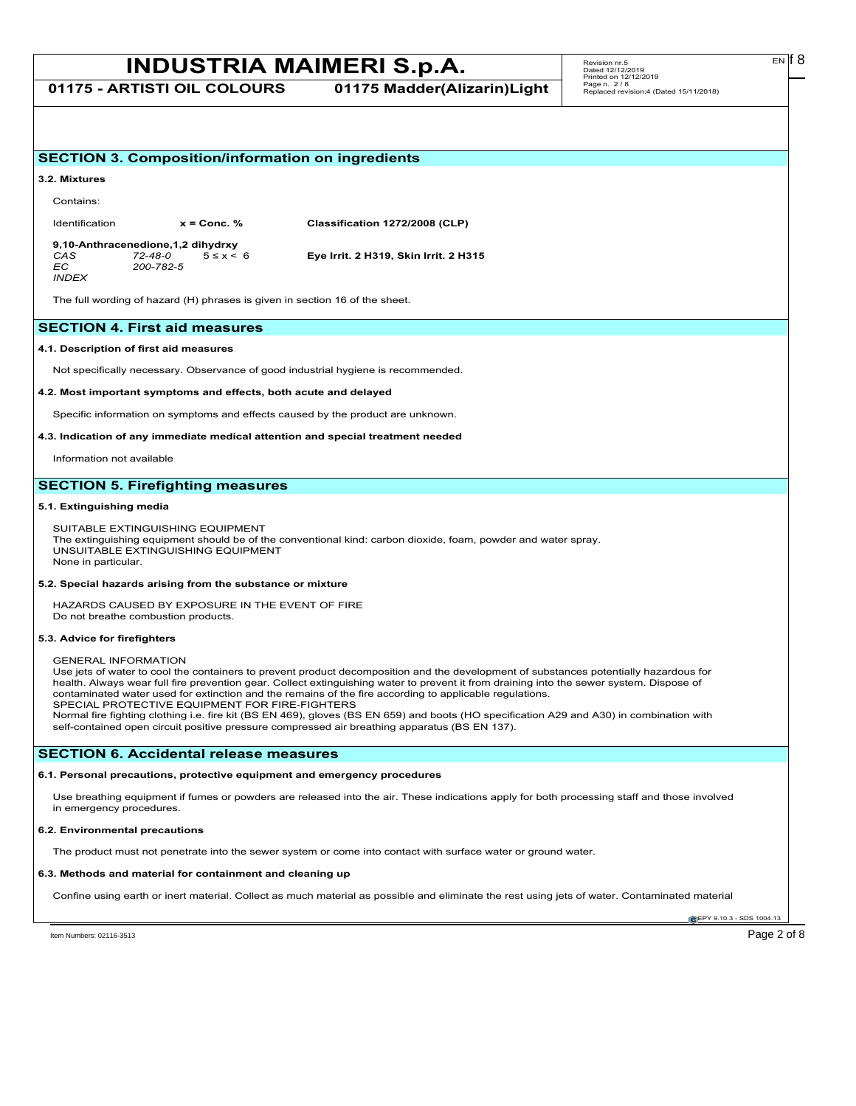**01175 - ARTISTI OIL COLOURS 01175 Madder(Alizarin)Light**

## **EPY 9.10.3 - SDS 1004.13 SECTION 3. Composition/information on ingredients 3.2. Mixtures** Contains: Identification **x = Conc. % Classification 1272/2008 (CLP) 9,10-Anthracenedione,1,2 dihydrxy** *CAS 72-48-0* 5 ≤ x < 6 **Eye Irrit. 2 H319, Skin Irrit. 2 H315** *EC 200-782-5 INDEX* The full wording of hazard (H) phrases is given in section 16 of the sheet. **SECTION 4. First aid measures 4.1. Description of first aid measures** Not specifically necessary. Observance of good industrial hygiene is recommended. **4.2. Most important symptoms and effects, both acute and delayed** Specific information on symptoms and effects caused by the product are unknown. **4.3. Indication of any immediate medical attention and special treatment needed** Information not available **SECTION 5. Firefighting measures 5.1. Extinguishing media** SUITABLE EXTINGUISHING EQUIPMENT The extinguishing equipment should be of the conventional kind: carbon dioxide, foam, powder and water spray. UNSUITABLE EXTINGUISHING EQUIPMENT None in particular. **5.2. Special hazards arising from the substance or mixture** HAZARDS CAUSED BY EXPOSURE IN THE EVENT OF FIRE Do not breathe combustion products. **5.3. Advice for firefighters** GENERAL INFORMATION Use jets of water to cool the containers to prevent product decomposition and the development of substances potentially hazardous for health. Always wear full fire prevention gear. Collect extinguishing water to prevent it from draining into the sewer system. Dispose of contaminated water used for extinction and the remains of the fire according to applicable regulations. SPECIAL PROTECTIVE EQUIPMENT FOR FIRE-FIGHTERS Normal fire fighting clothing i.e. fire kit (BS EN 469), gloves (BS EN 659) and boots (HO specification A29 and A30) in combination with self-contained open circuit positive pressure compressed air breathing apparatus (BS EN 137). **SECTION 6. Accidental release measures 6.1. Personal precautions, protective equipment and emergency procedures** Use breathing equipment if fumes or powders are released into the air. These indications apply for both processing staff and those involved in emergency procedures. **6.2. Environmental precautions** The product must not penetrate into the sewer system or come into contact with surface water or ground water. **6.3. Methods and material for containment and cleaning up** Confine using earth or inert material. Collect as much material as possible and eliminate the rest using jets of water. Contaminated material

Item Numbers: 02116-3513 Page 2 of 8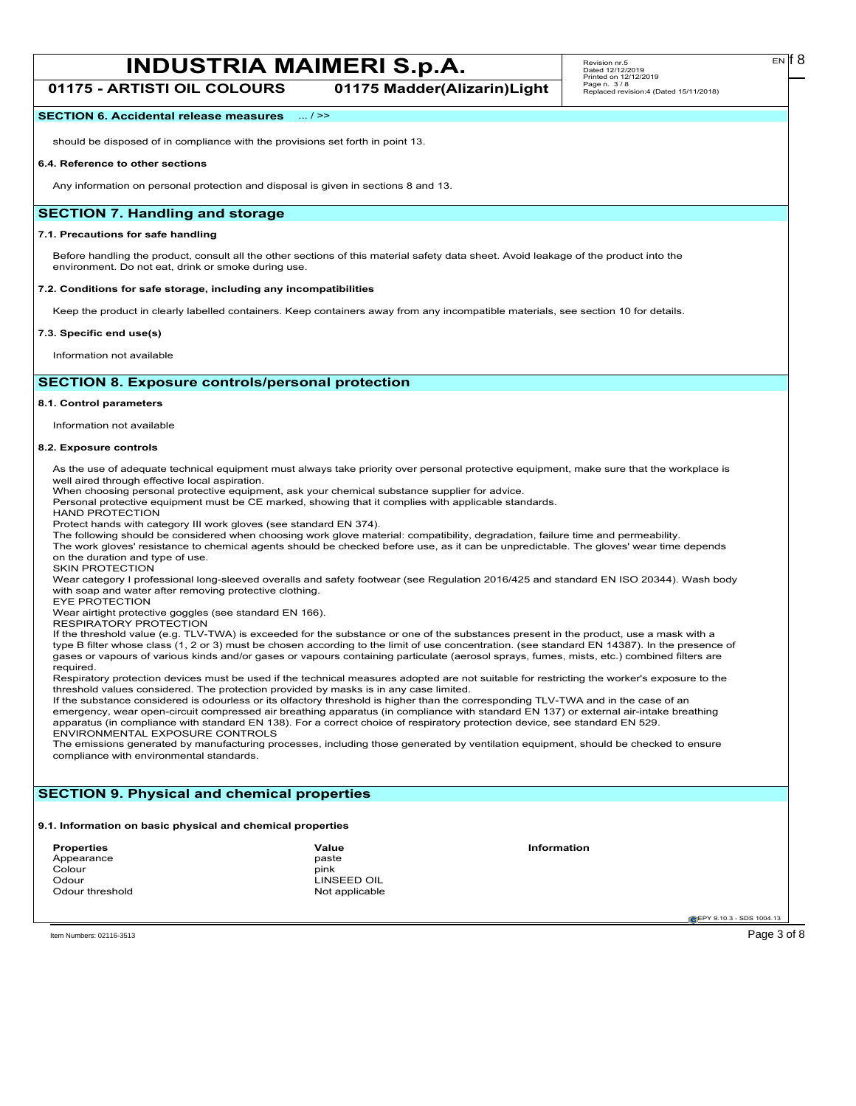**01175 - ARTISTI OIL COLOURS 01175 Madder(Alizarin)Light**

## **SECTION 6. Accidental release measures** ... / >>

should be disposed of in compliance with the provisions set forth in point 13.

#### **6.4. Reference to other sections**

Any information on personal protection and disposal is given in sections 8 and 13.

## **SECTION 7. Handling and storage**

#### **7.1. Precautions for safe handling**

Before handling the product, consult all the other sections of this material safety data sheet. Avoid leakage of the product into the environment. Do not eat, drink or smoke during use.

#### **7.2. Conditions for safe storage, including any incompatibilities**

Keep the product in clearly labelled containers. Keep containers away from any incompatible materials, see section 10 for details.

#### **7.3. Specific end use(s)**

Information not available

## **SECTION 8. Exposure controls/personal protection**

#### **8.1. Control parameters**

Information not available

#### **8.2. Exposure controls**

As the use of adequate technical equipment must always take priority over personal protective equipment, make sure that the workplace is well aired through effective local aspiration.

When choosing personal protective equipment, ask your chemical substance supplier for advice.

Personal protective equipment must be CE marked, showing that it complies with applicable standards.

HAND PROTECTION

Protect hands with category III work gloves (see standard EN 374).

The following should be considered when choosing work glove material: compatibility, degradation, failure time and permeability. The work gloves' resistance to chemical agents should be checked before use, as it can be unpredictable. The gloves' wear time depends

on the duration and type of use. SKIN PROTECTION

Wear category I professional long-sleeved overalls and safety footwear (see Regulation 2016/425 and standard EN ISO 20344). Wash body with soap and water after removing protective clothing.

EYE PROTECTION

Wear airtight protective goggles (see standard EN 166).

RESPIRATORY PROTECTION

If the threshold value (e.g. TLV-TWA) is exceeded for the substance or one of the substances present in the product, use a mask with a type B filter whose class (1, 2 or 3) must be chosen according to the limit of use concentration. (see standard EN 14387). In the presence of gases or vapours of various kinds and/or gases or vapours containing particulate (aerosol sprays, fumes, mists, etc.) combined filters are required.

Respiratory protection devices must be used if the technical measures adopted are not suitable for restricting the worker's exposure to the threshold values considered. The protection provided by masks is in any case limited.

If the substance considered is odourless or its olfactory threshold is higher than the corresponding TLV-TWA and in the case of an emergency, wear open-circuit compressed air breathing apparatus (in compliance with standard EN 137) or external air-intake breathing apparatus (in compliance with standard EN 138). For a correct choice of respiratory protection device, see standard EN 529. ENVIRONMENTAL EXPOSURE CONTROLS

The emissions generated by manufacturing processes, including those generated by ventilation equipment, should be checked to ensure compliance with environmental standards.

## **SECTION 9. Physical and chemical properties**

#### **9.1. Information on basic physical and chemical properties**

| <b>Properties</b> | Value          | <b>Information</b> |
|-------------------|----------------|--------------------|
| Appearance        | paste          |                    |
| Colour            | pink           |                    |
| Odour             | LINSEED OIL    |                    |
| Odour threshold   | Not applicable |                    |

**EPY 9.10.3 - SDS 1004.1** 

Item Numbers: 02116-3513 Page 3 of 8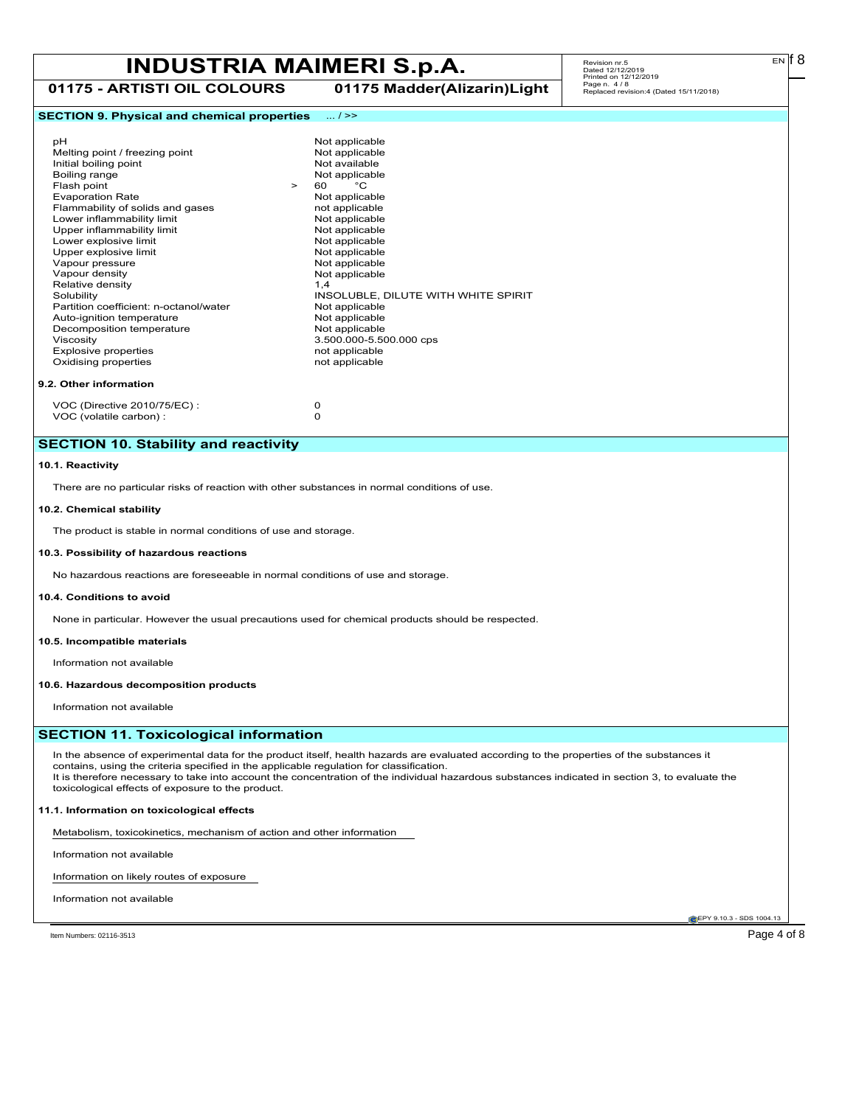**01175 - ARTISTI OIL COLOURS 01175 Madder(Alizarin)Light**

# Revision nr.5 Dated 12/12/2019 Printed on 12/12/2019 Page n. 4 / 8 Replaced revision:4 (Dated 15/11/2018)

## **SECTION 9. Physical and chemical properties** ... / >>

| рH                                     |        | Not applicable                      |
|----------------------------------------|--------|-------------------------------------|
| Melting point / freezing point         |        | Not applicable                      |
| Initial boiling point                  |        | Not available                       |
| Boiling range                          |        | Not applicable                      |
| Flash point                            | $\geq$ | °€<br>60                            |
| <b>Evaporation Rate</b>                |        | Not applicable                      |
| Flammability of solids and gases       |        | not applicable                      |
| Lower inflammability limit             |        | Not applicable                      |
| Upper inflammability limit             |        | Not applicable                      |
| Lower explosive limit                  |        | Not applicable                      |
| Upper explosive limit                  |        | Not applicable                      |
| Vapour pressure                        |        | Not applicable                      |
| Vapour density                         |        | Not applicable                      |
| Relative density                       |        | 1,4                                 |
| Solubility                             |        | INSOLUBLE, DILUTE WITH WHITE SPIRIT |
| Partition coefficient: n-octanol/water |        | Not applicable                      |
| Auto-ignition temperature              |        | Not applicable                      |
| Decomposition temperature              |        | Not applicable                      |
| Viscosity                              |        | 3.500.000-5.500.000 cps             |
| <b>Explosive properties</b>            |        | not applicable                      |
| Oxidising properties                   |        | not applicable                      |

VOC (Directive 2010/75/EC) : 0<br>VOC (volatile carbon) : 0 VOC (volatile carbon) :

## **SECTION 10. Stability and reactivity**

### **10.1. Reactivity**

There are no particular risks of reaction with other substances in normal conditions of use.

### **10.2. Chemical stability**

The product is stable in normal conditions of use and storage.

## **10.3. Possibility of hazardous reactions**

No hazardous reactions are foreseeable in normal conditions of use and storage.

## **10.4. Conditions to avoid**

None in particular. However the usual precautions used for chemical products should be respected.

**10.5. Incompatible materials**

Information not available

## **10.6. Hazardous decomposition products**

Information not available

## **SECTION 11. Toxicological information**

In the absence of experimental data for the product itself, health hazards are evaluated according to the properties of the substances it contains, using the criteria specified in the applicable regulation for classification. It is therefore necessary to take into account the concentration of the individual hazardous substances indicated in section 3, to evaluate the toxicological effects of exposure to the product.

### **11.1. Information on toxicological effects**

Metabolism, toxicokinetics, mechanism of action and other information

Information not available

Information on likely routes of exposure

Information not available

**C**EPY 9.10.3 - SDS 1004.1

Item Numbers: 02116-3513 Page 4 of 8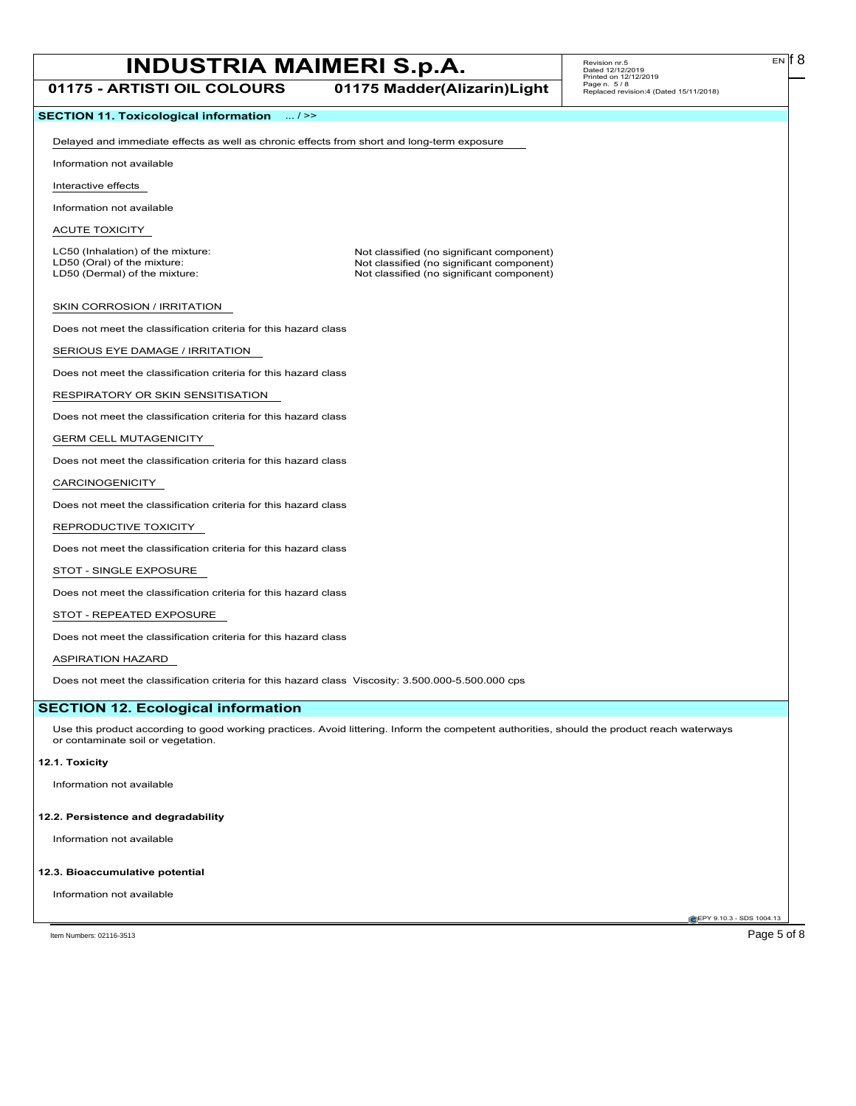**01175 - ARTISTI OIL COLOURS 01175 Madder(Alizarin)Light**

EN

## **SECTION 11. Toxicological information** ... / >>

Delayed and immediate effects as well as chronic effects from short and long-term exposure

Information not available

Interactive effects

Information not available

ACUTE TOXICITY

LC50 (Inhalation) of the mixture: Not classified (no significant component)<br>
LD50 (Oral) of the mixture: Not classified (no significant component) LD50 (Oral) of the mixture:  $\blacksquare$ <br>
LD50 (Dermal) of the mixture: Not classified (no significant component)<br>
Not classified (no significant component) Not classified (no significant component)

SKIN CORROSION / IRRITATION

Does not meet the classification criteria for this hazard class

SERIOUS EYE DAMAGE / IRRITATION

Does not meet the classification criteria for this hazard class

RESPIRATORY OR SKIN SENSITISATION

Does not meet the classification criteria for this hazard class

### GERM CELL MUTAGENICITY

Does not meet the classification criteria for this hazard class

### CARCINOGENICITY

Does not meet the classification criteria for this hazard class

### REPRODUCTIVE TOXICITY

Does not meet the classification criteria for this hazard class

### STOT - SINGLE EXPOSURE

Does not meet the classification criteria for this hazard class

## STOT - REPEATED EXPOSURE

Does not meet the classification criteria for this hazard class

### ASPIRATION HAZARD

Does not meet the classification criteria for this hazard class Viscosity: 3.500.000-5.500.000 cps

## **SECTION 12. Ecological information**

Use this product according to good working practices. Avoid littering. Inform the competent authorities, should the product reach waterways or contaminate soil or vegetation.

## **12.1. Toxicity**

Information not available

#### **12.2. Persistence and degradability**

Information not available

#### **12.3. Bioaccumulative potential**

Information not available

EPY 9.10.3 - SDS 1004.13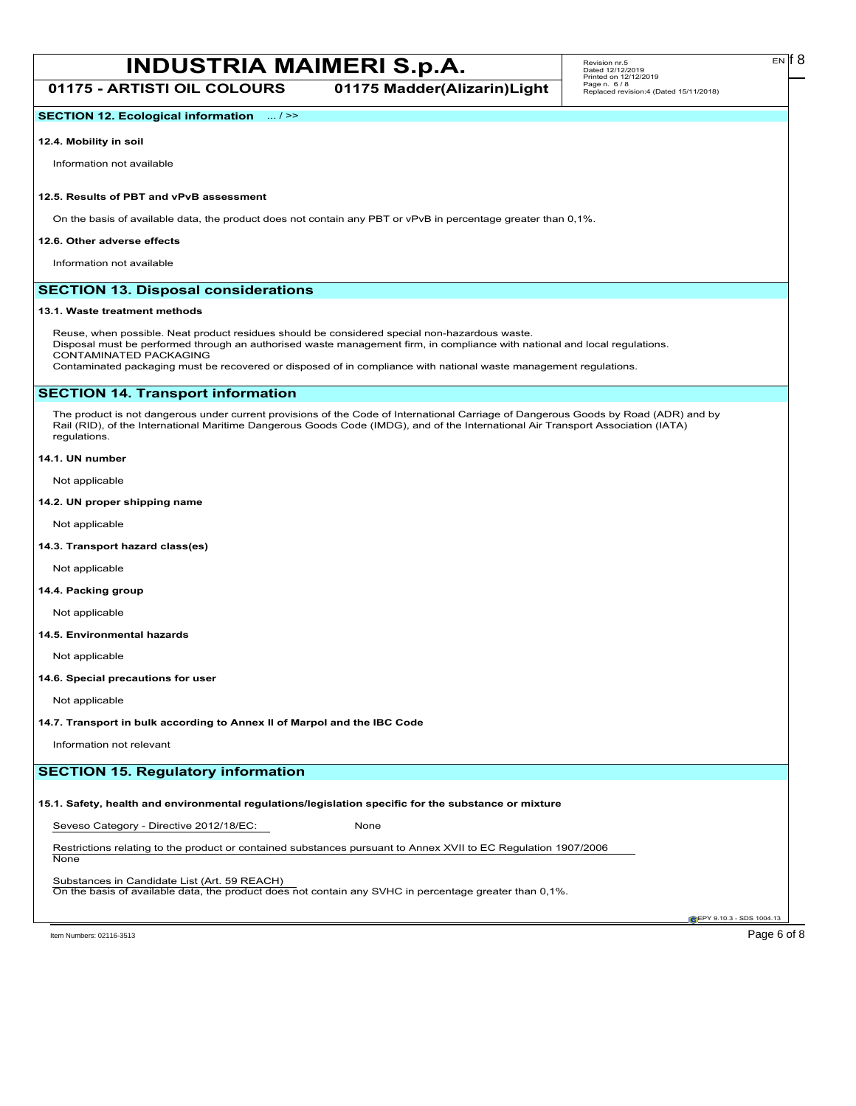**01175 - ARTISTI OIL COLOURS 01175 Madder(Alizarin)Light**

## **SECTION 12. Ecological information** ... / >>

#### **12.4. Mobility in soil**

Information not available

## **12.5. Results of PBT and vPvB assessment**

On the basis of available data, the product does not contain any PBT or vPvB in percentage greater than 0,1%.

#### **12.6. Other adverse effects**

Information not available

## **SECTION 13. Disposal considerations**

#### **13.1. Waste treatment methods**

Reuse, when possible. Neat product residues should be considered special non-hazardous waste. Disposal must be performed through an authorised waste management firm, in compliance with national and local regulations. CONTAMINATED PACKAGING Contaminated packaging must be recovered or disposed of in compliance with national waste management regulations.

## **SECTION 14. Transport information**

The product is not dangerous under current provisions of the Code of International Carriage of Dangerous Goods by Road (ADR) and by Rail (RID), of the International Maritime Dangerous Goods Code (IMDG), and of the International Air Transport Association (IATA) regulations.

### **14.1. UN number**

Not applicable

#### **14.2. UN proper shipping name**

Not applicable

#### **14.3. Transport hazard class(es)**

Not applicable

#### **14.4. Packing group**

Not applicable

### **14.5. Environmental hazards**

Not applicable

#### **14.6. Special precautions for user**

Not applicable

#### **14.7. Transport in bulk according to Annex II of Marpol and the IBC Code**

Information not relevant

## **SECTION 15. Regulatory information**

## **15.1. Safety, health and environmental regulations/legislation specific for the substance or mixture**

Seveso Category - Directive 2012/18/EC: None

Restrictions relating to the product or contained substances pursuant to Annex XVII to EC Regulation 1907/2006 None

Substances in Candidate List (Art. 59 REACH)

On the basis of available data, the product does not contain any SVHC in percentage greater than 0,1%.

**C**EPY 9.10.3 - SDS 1004.1

Item Numbers: 02116-3513 Page 6 of 8

EN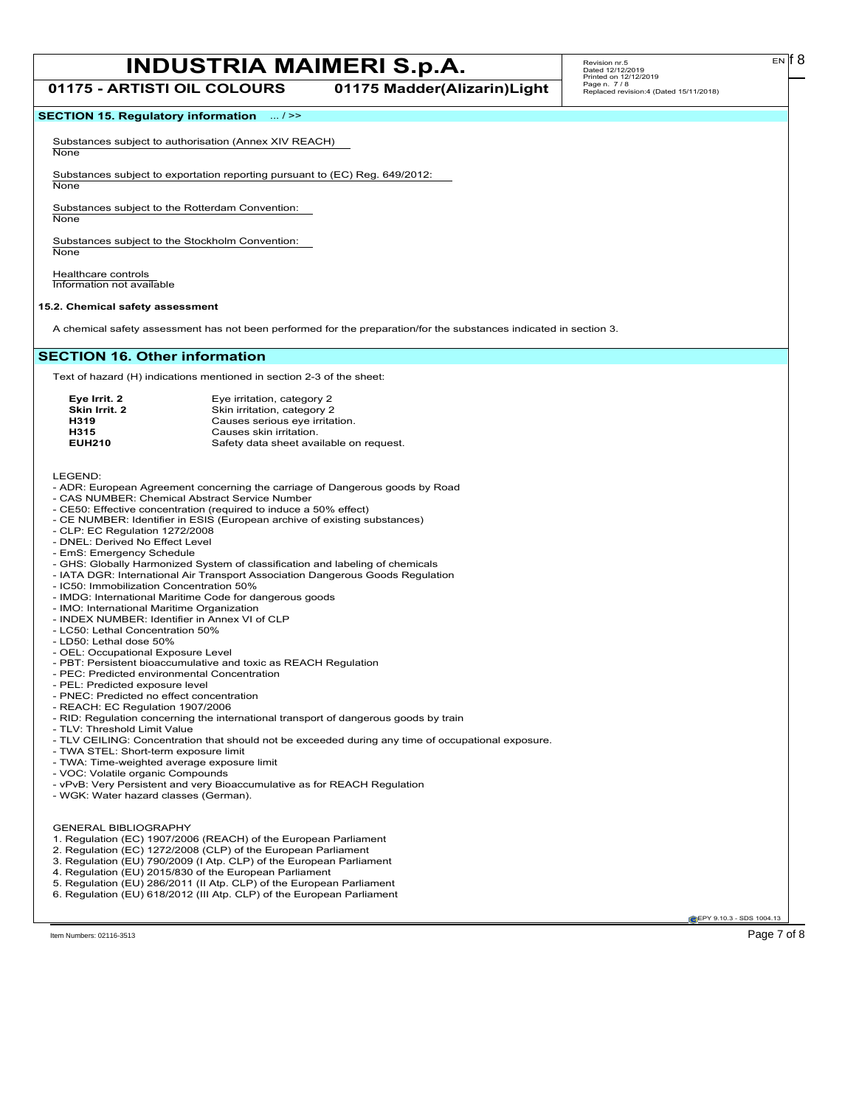## **SECTION 15. Regulatory information** ... / >>

Substances subject to authorisation (Annex XIV REACH) **None** 

Substances subject to exportation reporting pursuant to (EC) Reg. 649/2012:

None

Substances subject to the Rotterdam Convention: **None** 

Substances subject to the Stockholm Convention: **None** 

Healthcare controls Information not available

#### **15.2. Chemical safety assessment**

A chemical safety assessment has not been performed for the preparation/for the substances indicated in section 3.

## **SECTION 16. Other information**

Text of hazard (H) indications mentioned in section 2-3 of the sheet:

| Eye irritation, category 2              |
|-----------------------------------------|
| Skin irritation, category 2             |
| Causes serious eye irritation.          |
| Causes skin irritation.                 |
| Safety data sheet available on request. |
|                                         |

LEGEND:

- ADR: European Agreement concerning the carriage of Dangerous goods by Road
- CAS NUMBER: Chemical Abstract Service Number
- CE50: Effective concentration (required to induce a 50% effect)
- CE NUMBER: Identifier in ESIS (European archive of existing substances)
- CLP: EC Regulation 1272/2008
- DNEL: Derived No Effect Level
- EmS: Emergency Schedule
- GHS: Globally Harmonized System of classification and labeling of chemicals
- IATA DGR: International Air Transport Association Dangerous Goods Regulation
- IC50: Immobilization Concentration 50%
- IMDG: International Maritime Code for dangerous goods
- IMO: International Maritime Organization
- INDEX NUMBER: Identifier in Annex VI of CLP
- LC50: Lethal Concentration 50% - LD50: Lethal dose 50%
- 
- OEL: Occupational Exposure Level
- PBT: Persistent bioaccumulative and toxic as REACH Regulation
- PEC: Predicted environmental Concentration
- PEL: Predicted exposure level
- PNEC: Predicted no effect concentration - REACH: EC Regulation 1907/2006
- RID: Regulation concerning the international transport of dangerous goods by train
- TLV: Threshold Limit Value
- TLV CEILING: Concentration that should not be exceeded during any time of occupational exposure.
- TWA STEL: Short-term exposure limit
- TWA: Time-weighted average exposure limit
- VOC: Volatile organic Compounds
- vPvB: Very Persistent and very Bioaccumulative as for REACH Regulation
- WGK: Water hazard classes (German).

GENERAL BIBLIOGRAPHY

- 1. Regulation (EC) 1907/2006 (REACH) of the European Parliament
- 2. Regulation (EC) 1272/2008 (CLP) of the European Parliament
- 3. Regulation (EU) 790/2009 (I Atp. CLP) of the European Parliament
- 4. Regulation (EU) 2015/830 of the European Parliament
- 5. Regulation (EU) 286/2011 (II Atp. CLP) of the European Parliament
- 6. Regulation (EU) 618/2012 (III Atp. CLP) of the European Parliament

**EPY 9.10.3 - SDS 1004.13**